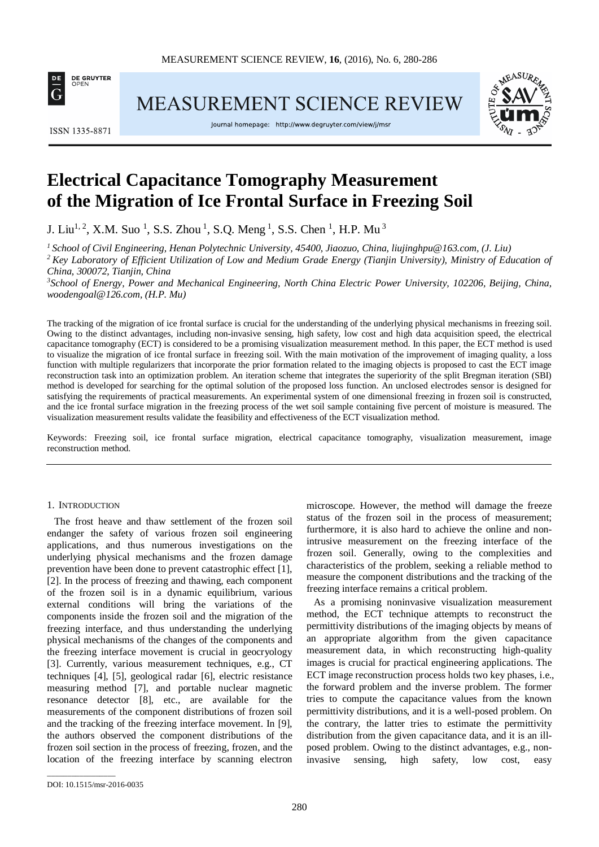

**MEASUREMENT SCIENCE REVIEW** 

**ISSN 1335-8871** 

Journal homepage: http://www.degruyter.com/view/j/msr



# **Electrical Capacitance Tomography Measurement of the Migration of Ice Frontal Surface in Freezing Soil**

J. Liu<sup>1, 2</sup>, X.M. Suo<sup>1</sup>, S.S. Zhou<sup>1</sup>, S.Q. Meng<sup>1</sup>, S.S. Chen<sup>1</sup>, H.P. Mu<sup>3</sup>

*1 School of Civil Engineering, Henan Polytechnic University, 45400, Jiaozuo, China, liujinghpu@163.com, (J. Liu) 2 Key Laboratory of Efficient Utilization of Low and Medium Grade Energy (Tianjin University), Ministry of Education of* 

*China, 300072, Tianjin, China*

<sup>3</sup> School of Energy, Power and Mechanical Engineering, North China Electric Power University, 102206, Beijing, China, *woodengoal@126.com, (H.P. Mu)*

The tracking of the migration of ice frontal surface is crucial for the understanding of the underlying physical mechanisms in freezing soil. Owing to the distinct advantages, including non-invasive sensing, high safety, low cost and high data acquisition speed, the electrical capacitance tomography (ECT) is considered to be a promising visualization measurement method. In this paper, the ECT method is used to visualize the migration of ice frontal surface in freezing soil. With the main motivation of the improvement of imaging quality, a loss function with multiple regularizers that incorporate the prior formation related to the imaging objects is proposed to cast the ECT image reconstruction task into an optimization problem. An iteration scheme that integrates the superiority of the split Bregman iteration (SBI) method is developed for searching for the optimal solution of the proposed loss function. An unclosed electrodes sensor is designed for satisfying the requirements of practical measurements. An experimental system of one dimensional freezing in frozen soil is constructed, and the ice frontal surface migration in the freezing process of the wet soil sample containing five percent of moisture is measured. The visualization measurement results validate the feasibility and effectiveness of the ECT visualization method.

Keywords: Freezing soil, ice frontal surface migration, electrical capacitance tomography, visualization measurement, image reconstruction method.

#### 1. INTRODUCTION

The frost heave and thaw settlement of the frozen soil endanger the safety of various frozen soil engineering applications, and thus numerous investigations on the underlying physical mechanisms and the frozen damage prevention have been done to prevent catastrophic effect [1], [2]. In the process of freezing and thawing, each component of the frozen soil is in a dynamic equilibrium, various external conditions will bring the variations of the components inside the frozen soil and the migration of the freezing interface, and thus understanding the underlying physical mechanisms of the changes of the components and the freezing interface movement is crucial in geocryology [3]. Currently, various measurement techniques, e.g., CT techniques [4], [5], geological radar [6], electric resistance measuring method [7], and portable nuclear magnetic resonance detector [8], etc., are available for the measurements of the component distributions of frozen soil and the tracking of the freezing interface movement. In [9], the authors observed the component distributions of the frozen soil section in the process of freezing, frozen, and the location of the freezing interface by scanning electron

\_\_\_\_\_\_\_\_\_\_\_\_\_\_\_\_\_

microscope. However, the method will damage the freeze status of the frozen soil in the process of measurement; furthermore, it is also hard to achieve the online and nonintrusive measurement on the freezing interface of the frozen soil. Generally, owing to the complexities and characteristics of the problem, seeking a reliable method to measure the component distributions and the tracking of the freezing interface remains a critical problem.

As a promising noninvasive visualization measurement method, the ECT technique attempts to reconstruct the permittivity distributions of the imaging objects by means of an appropriate algorithm from the given capacitance measurement data, in which reconstructing high-quality images is crucial for practical engineering applications. The ECT image reconstruction process holds two key phases, i.e., the forward problem and the inverse problem. The former tries to compute the capacitance values from the known permittivity distributions, and it is a well-posed problem. On the contrary, the latter tries to estimate the permittivity distribution from the given capacitance data, and it is an illposed problem. Owing to the distinct advantages, e.g., noninvasive sensing, high safety, low cost, easy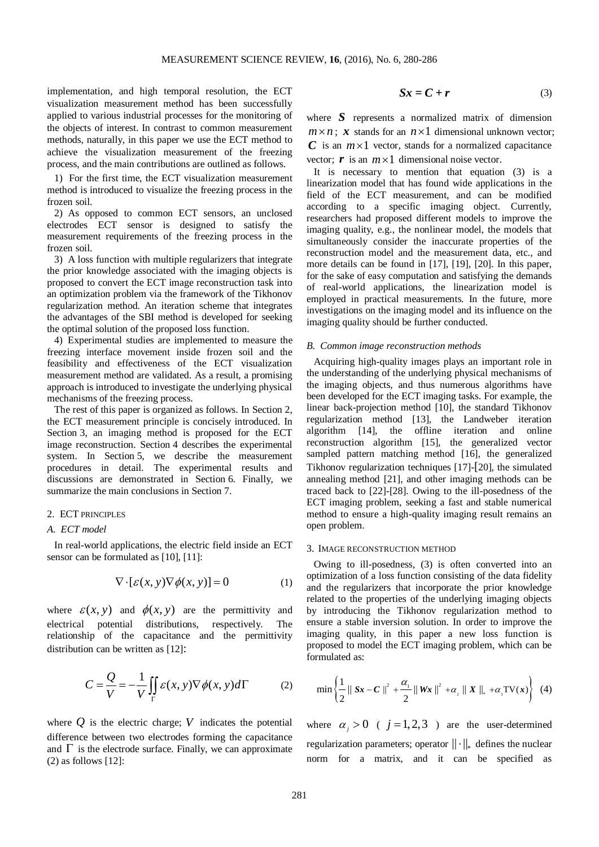implementation, and high temporal resolution, the ECT visualization measurement method has been successfully applied to various industrial processes for the monitoring of the objects of interest. In contrast to common measurement methods, naturally, in this paper we use the ECT method to achieve the visualization measurement of the freezing process, and the main contributions are outlined as follows.

1) For the first time, the ECT visualization measurement method is introduced to visualize the freezing process in the frozen soil.

2) As opposed to common ECT sensors, an unclosed electrodes ECT sensor is designed to satisfy the measurement requirements of the freezing process in the frozen soil.

3) A loss function with multiple regularizers that integrate the prior knowledge associated with the imaging objects is proposed to convert the ECT image reconstruction task into an optimization problem via the framework of the Tikhonov regularization method. An iteration scheme that integrates the advantages of the SBI method is developed for seeking the optimal solution of the proposed loss function.

4) Experimental studies are implemented to measure the freezing interface movement inside frozen soil and the feasibility and effectiveness of the ECT visualization measurement method are validated. As a result, a promising approach is introduced to investigate the underlying physical mechanisms of the freezing process.

The rest of this paper is organized as follows. In Section 2, the ECT measurement principle is concisely introduced. In Section 3, an imaging method is proposed for the ECT image reconstruction. Section 4 describes the experimental system. In Section 5, we describe the measurement procedures in detail. The experimental results and discussions are demonstrated in Section 6. Finally, we summarize the main conclusions in Section 7.

# 2. ECT PRINCIPLES

### *A. ECT model*

In real-world applications, the electric field inside an ECT sensor can be formulated as [10], [11]:

$$
\nabla \cdot [\varepsilon(x, y) \nabla \phi(x, y)] = 0 \tag{1}
$$

where  $\varepsilon(x, y)$  and  $\phi(x, y)$  are the permittivity and electrical potential distributions, respectively. The relationship of the capacitance and the permittivity distribution can be written as [12]:

$$
C = \frac{Q}{V} = -\frac{1}{V} \iint_{\Gamma} \mathcal{E}(x, y) \nabla \phi(x, y) d\Gamma
$$
 (2)

where  $\hat{O}$  is the electric charge;  $\hat{V}$  indicates the potential difference between two electrodes forming the capacitance and  $\Gamma$  is the electrode surface. Finally, we can approximate (2) as follows [12]:

$$
Sx = C + r \tag{3}
$$

where **S** represents a normalized matrix of dimension  $m \times n$ ; x stands for an  $n \times 1$  dimensional unknown vector;  $C$  is an  $m \times 1$  vector, stands for a normalized capacitance vector;  $\boldsymbol{r}$  is an  $m \times 1$  dimensional noise vector.

It is necessary to mention that equation (3) is a linearization model that has found wide applications in the field of the ECT measurement, and can be modified according to a specific imaging object. Currently, researchers had proposed different models to improve the imaging quality, e.g., the nonlinear model, the models that simultaneously consider the inaccurate properties of the reconstruction model and the measurement data, etc., and more details can be found in [17], [19], [20]. In this paper, for the sake of easy computation and satisfying the demands of real-world applications, the linearization model is employed in practical measurements. In the future, more investigations on the imaging model and its influence on the imaging quality should be further conducted.

#### *B. Common image reconstruction methods*

Acquiring high-quality images plays an important role in the understanding of the underlying physical mechanisms of the imaging objects, and thus numerous algorithms have been developed for the ECT imaging tasks. For example, the linear back-projection method [10], the standard Tikhonov regularization method [13], the Landweber iteration algorithm [14], the offline iteration and online reconstruction algorithm [15], the generalized vector sampled pattern matching method [16], the generalized Tikhonov regularization techniques [17]-[20], the simulated annealing method [21], and other imaging methods can be traced back to [22]-[28]. Owing to the ill-posedness of the ECT imaging problem, seeking a fast and stable numerical method to ensure a high-quality imaging result remains an open problem.

## 3. IMAGE RECONSTRUCTION METHOD

Owing to ill-posedness, (3) is often converted into an optimization of a loss function consisting of the data fidelity and the regularizers that incorporate the prior knowledge related to the properties of the underlying imaging objects by introducing the Tikhonov regularization method to ensure a stable inversion solution. In order to improve the imaging quality, in this paper a new loss function is proposed to model the ECT imaging problem, which can be formulated as:

$$
\min\left\{\frac{1}{2}\parallel Sx-C\parallel^2+\frac{\alpha_{\perp}}{2}\parallel Wx\parallel^2+\alpha_{\perp}\parallel X\parallel_*+\alpha_{\perp} \text{TV}(x)\right\}
$$
 (4)

where  $\alpha_i > 0$  (  $j = 1, 2, 3$  ) are the user-determined regularization parameters; operator  $|| \cdot ||_*$  defines the nuclear norm for a matrix, and it can be specified as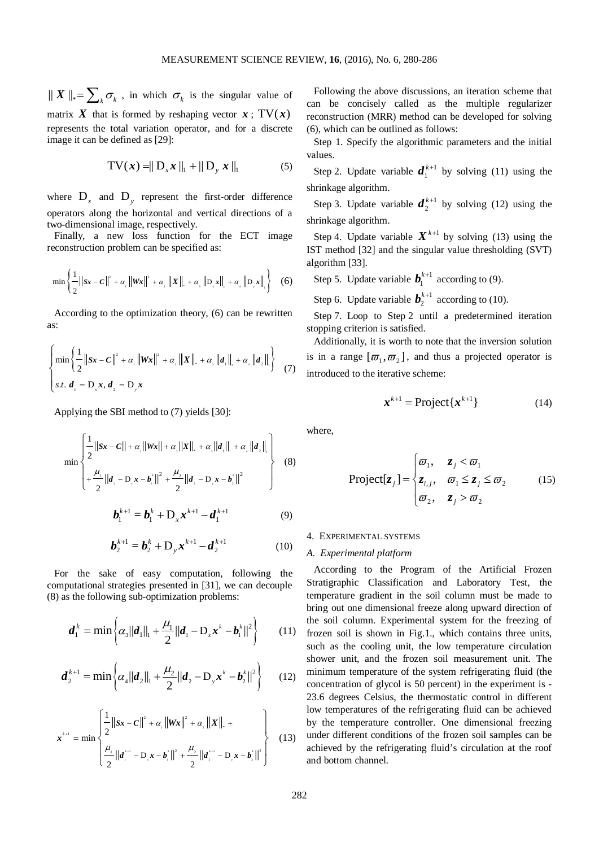$|| X ||_* = \sum_k \sigma_k$ , in which  $\sigma_k$  is the singular value of matrix X that is formed by reshaping vector  $x : TV(x)$ represents the total variation operator, and for a discrete image it can be defined as [29]:

$$
TV(x) = ||D_x x||_1 + ||D_y x||_1
$$
 (5)

where  $D_x$  and  $D_y$  represent the first-order difference operators along the horizontal and vertical directions of a two-dimensional image, respectively.

Finally, a new loss function for the ECT image reconstruction problem can be specified as:

$$
\min\left\{\frac{1}{2}\|sx - C\|^2 + \alpha_1 \|Wx\|^2 + \alpha_2 \|X\|_{\mathsf{L}} + \alpha_3 \|D_xx\|_{\mathsf{L}} + \alpha_4 \|D_yx\|_{\mathsf{L}}\right\} \quad (6)
$$

According to the optimization theory, (6) can be rewritten as:

$$
\begin{cases}\n\min \left\{ \frac{1}{2} ||Sx - C||^2 + \alpha_1 ||Wx||^2 + \alpha_2 ||X||_1 + \alpha_2 ||d_1||_1 + \alpha_1 ||d_2||_1 \right\} \\
s.t. d_1 = D_x x, d_2 = D_y x\n\end{cases}
$$
\n(7)

Applying the SBI method to (7) yields [30]:

$$
\min \left\{\frac{1}{2}||sx - c|| + \alpha_{\parallel}||wx|| + \alpha_{\perp}||x||_{\perp} + \alpha_{\parallel}||d_{\perp}||_{\perp} + \alpha_{\perp}||d_{\perp}||_{\perp} + \frac{\mu_{\perp}}{2}||d_{\perp} - D_{\perp}x - b_{\perp}||^{2} + \frac{\mu_{\perp}}{2}||d_{\perp} - D_{\perp}x - b_{\perp}||^{2}\right\}
$$
(8)

$$
\boldsymbol{b}_{1}^{k+1} = \boldsymbol{b}_{1}^{k} + \mathbf{D}_{x} \boldsymbol{x}^{k+1} - \boldsymbol{d}_{1}^{k+1}
$$
 (9)

$$
\boldsymbol{b}_{2}^{k+1} = \boldsymbol{b}_{2}^{k} + \mathbf{D}_{y} \boldsymbol{x}^{k+1} - \boldsymbol{d}_{2}^{k+1}
$$
 (10)

For the sake of easy computation, following the computational strategies presented in [31], we can decouple (8) as the following sub-optimization problems:

$$
\boldsymbol{d}_{1}^{k} = \min \left\{ \alpha_{3} ||\boldsymbol{d}_{1}||_{1} + \frac{\mu_{1}}{2} ||\boldsymbol{d}_{1} - \mathbf{D}_{x} \boldsymbol{x}^{k} - \boldsymbol{b}_{1}^{k}||^{2} \right\}
$$
(11)

$$
\boldsymbol{d}_{2}^{k+1} = \min \left\{ \alpha_{4} || \boldsymbol{d}_{2} ||_{1} + \frac{\mu_{2}}{2} || \boldsymbol{d}_{2} - \mathbf{D}_{y} \boldsymbol{x}^{k} - \boldsymbol{b}_{2}^{k} ||^{2} \right\}
$$
 (12)

$$
\mathbf{x}^{k+1} = \min \left\{ \frac{1}{2} ||S\mathbf{x} - C||^2 + \alpha_{\perp} ||W\mathbf{x}||^2 + \alpha_{\perp} ||\mathbf{x}||_{\perp} + \frac{1}{2} ||\mathbf{x}^{k+1} - D_{\perp} \mathbf{x} - \mathbf{b}^{k}_1 ||^2 + \frac{\mu_2}{2} ||\mathbf{d}^{k+1} - D_{\perp} \mathbf{x} - \mathbf{b}^{k}_2 ||^2 \right\}
$$
(13)

Following the above discussions, an iteration scheme that can be concisely called as the multiple regularizer reconstruction (MRR) method can be developed for solving (6), which can be outlined as follows:

Step 1. Specify the algorithmic parameters and the initial values.

Step 2. Update variable  $d_1^{k+1}$  by solving (11) using the shrinkage algorithm.

Step 3. Update variable  $d_2^{k+1}$  $d_2^{k+1}$  by solving (12) using the shrinkage algorithm.

Step 4. Update variable  $X^{k+1}$  by solving (13) using the IST method [32] and the singular value thresholding (SVT) algorithm [33].

Step 5. Update variable  $\boldsymbol{b}_1^{k+1}$  according to (9).

Step 6. Update variable  $\boldsymbol{b}_2^{k+1}$  according to (10).

Step 7. Loop to Step 2 until a predetermined iteration stopping criterion is satisfied.

Additionally, it is worth to note that the inversion solution is in a range  $[\varpi_1, \varpi_2]$ , and thus a projected operator is introduced to the iterative scheme:

$$
\boldsymbol{x}^{k+1} = \text{Project}\{\boldsymbol{x}^{k+1}\}\tag{14}
$$

where,

$$
\text{Project}[z_j] = \begin{cases} \varpi_1, & z_j < \varpi_1 \\ z_{i,j}, & \varpi_1 \le z_j \le \varpi_2 \\ \varpi_2, & z_j > \varpi_2 \end{cases} \tag{15}
$$

## 4. EXPERIMENTAL SYSTEMS

## *A. Experimental platform*

According to the Program of the Artificial Frozen Stratigraphic Classification and Laboratory Test, the temperature gradient in the soil column must be made to bring out one dimensional freeze along upward direction of the soil column. Experimental system for the freezing of frozen soil is shown in Fig.1., which contains three units, such as the cooling unit, the low temperature circulation shower unit, and the frozen soil measurement unit. The minimum temperature of the system refrigerating fluid (the concentration of glycol is 50 percent) in the experiment is - 23.6 degrees Celsius, the thermostatic control in different low temperatures of the refrigerating fluid can be achieved by the temperature controller. One dimensional freezing under different conditions of the frozen soil samples can be achieved by the refrigerating fluid's circulation at the roof and bottom channel.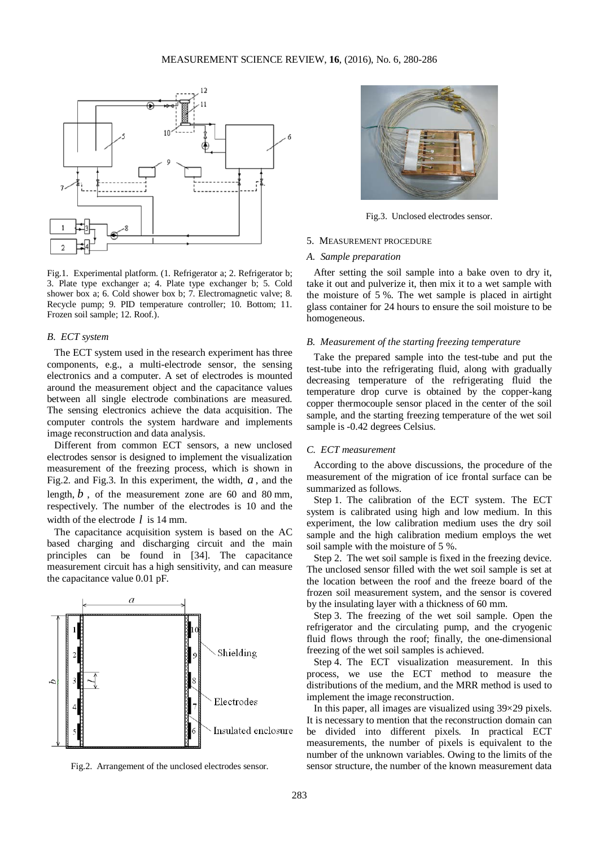

Fig.1. Experimental platform. (1. Refrigerator a; 2. Refrigerator b; 3. Plate type exchanger a; 4. Plate type exchanger b; 5. Cold shower box a; 6. Cold shower box b; 7. Electromagnetic valve; 8. Recycle pump; 9. PID temperature controller; 10. Bottom; 11. Frozen soil sample; 12. Roof.).

## *B. ECT system*

The ECT system used in the research experiment has three components, e.g., a multi-electrode sensor, the sensing electronics and a computer. A set of electrodes is mounted around the measurement object and the capacitance values between all single electrode combinations are measured. The sensing electronics achieve the data acquisition. The computer controls the system hardware and implements image reconstruction and data analysis.

Different from common ECT sensors, a new unclosed electrodes sensor is designed to implement the visualization measurement of the freezing process, which is shown in Fig.2. and Fig.3. In this experiment, the width, *a* , and the length, *b* , of the measurement zone are 60 and 80 mm, respectively. The number of the electrodes is 10 and the width of the electrode *l* is 14 mm.

The capacitance acquisition system is based on the AC based charging and discharging circuit and the main principles can be found in [34]. The capacitance measurement circuit has a high sensitivity, and can measure the capacitance value 0.01 pF.



Fig.2. Arrangement of the unclosed electrodes sensor.



Fig.3. Unclosed electrodes sensor.

#### 5. MEASUREMENT PROCEDURE

## *A. Sample preparation*

After setting the soil sample into a bake oven to dry it, take it out and pulverize it, then mix it to a wet sample with the moisture of 5 %. The wet sample is placed in airtight glass container for 24 hours to ensure the soil moisture to be homogeneous.

## *B. Measurement of the starting freezing temperature*

Take the prepared sample into the test-tube and put the test-tube into the refrigerating fluid, along with gradually decreasing temperature of the refrigerating fluid the temperature drop curve is obtained by the copper-kang copper thermocouple sensor placed in the center of the soil sample, and the starting freezing temperature of the wet soil sample is -0.42 degrees Celsius.

#### *C. ECT measurement*

According to the above discussions, the procedure of the measurement of the migration of ice frontal surface can be summarized as follows.

Step 1. The calibration of the ECT system. The ECT system is calibrated using high and low medium. In this experiment, the low calibration medium uses the dry soil sample and the high calibration medium employs the wet soil sample with the moisture of 5 %.

Step 2. The wet soil sample is fixed in the freezing device. The unclosed sensor filled with the wet soil sample is set at the location between the roof and the freeze board of the frozen soil measurement system, and the sensor is covered by the insulating layer with a thickness of 60 mm.

Step 3. The freezing of the wet soil sample. Open the refrigerator and the circulating pump, and the cryogenic fluid flows through the roof; finally, the one-dimensional freezing of the wet soil samples is achieved.

Step 4. The ECT visualization measurement. In this process, we use the ECT method to measure the distributions of the medium, and the MRR method is used to implement the image reconstruction.

In this paper, all images are visualized using 39×29 pixels. It is necessary to mention that the reconstruction domain can be divided into different pixels. In practical ECT measurements, the number of pixels is equivalent to the number of the unknown variables. Owing to the limits of the sensor structure, the number of the known measurement data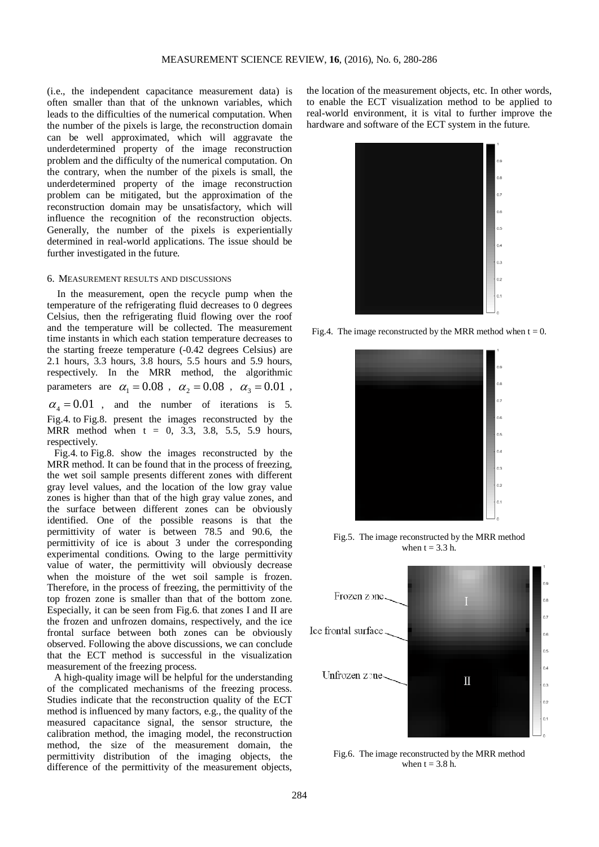(i.e., the independent capacitance measurement data) is often smaller than that of the unknown variables, which leads to the difficulties of the numerical computation. When the number of the pixels is large, the reconstruction domain can be well approximated, which will aggravate the underdetermined property of the image reconstruction problem and the difficulty of the numerical computation. On the contrary, when the number of the pixels is small, the underdetermined property of the image reconstruction problem can be mitigated, but the approximation of the reconstruction domain may be unsatisfactory, which will influence the recognition of the reconstruction objects. Generally, the number of the pixels is experientially determined in real-world applications. The issue should be further investigated in the future.

#### 6. MEASUREMENT RESULTS AND DISCUSSIONS

In the measurement, open the recycle pump when the temperature of the refrigerating fluid decreases to 0 degrees Celsius, then the refrigerating fluid flowing over the roof and the temperature will be collected. The measurement time instants in which each station temperature decreases to the starting freeze temperature (-0.42 degrees Celsius) are 2.1 hours, 3.3 hours, 3.8 hours, 5.5 hours and 5.9 hours, respectively. In the MRR method, the algorithmic parameters are  $\alpha_1 = 0.08$ ,  $\alpha_2 = 0.08$ ,  $\alpha_3 = 0.01$ ,  $\alpha_4 = 0.01$ , and the number of iterations is 5. Fig.4. to Fig.8. present the images reconstructed by the MRR method when  $t = 0, 3.3, 3.8, 5.5, 5.9$  hours, respectively.

Fig.4. to Fig.8. show the images reconstructed by the MRR method. It can be found that in the process of freezing, the wet soil sample presents different zones with different gray level values, and the location of the low gray value zones is higher than that of the high gray value zones, and the surface between different zones can be obviously identified. One of the possible reasons is that the permittivity of water is between 78.5 and 90.6, the permittivity of ice is about 3 under the corresponding experimental conditions. Owing to the large permittivity value of water, the permittivity will obviously decrease when the moisture of the wet soil sample is frozen. Therefore, in the process of freezing, the permittivity of the top frozen zone is smaller than that of the bottom zone. Especially, it can be seen from Fig.6. that zones I and II are the frozen and unfrozen domains, respectively, and the ice frontal surface between both zones can be obviously observed. Following the above discussions, we can conclude that the ECT method is successful in the visualization measurement of the freezing process.

A high-quality image will be helpful for the understanding of the complicated mechanisms of the freezing process. Studies indicate that the reconstruction quality of the ECT method is influenced by many factors, e.g., the quality of the measured capacitance signal, the sensor structure, the calibration method, the imaging model, the reconstruction method, the size of the measurement domain, the permittivity distribution of the imaging objects, the difference of the permittivity of the measurement objects,

the location of the measurement objects, etc. In other words, to enable the ECT visualization method to be applied to real-world environment, it is vital to further improve the hardware and software of the ECT system in the future.



Fig.4. The image reconstructed by the MRR method when  $t = 0$ .



Fig.5. The image reconstructed by the MRR method when  $t = 3.3$  h.



Fig.6. The image reconstructed by the MRR method when  $t = 3.8$  h.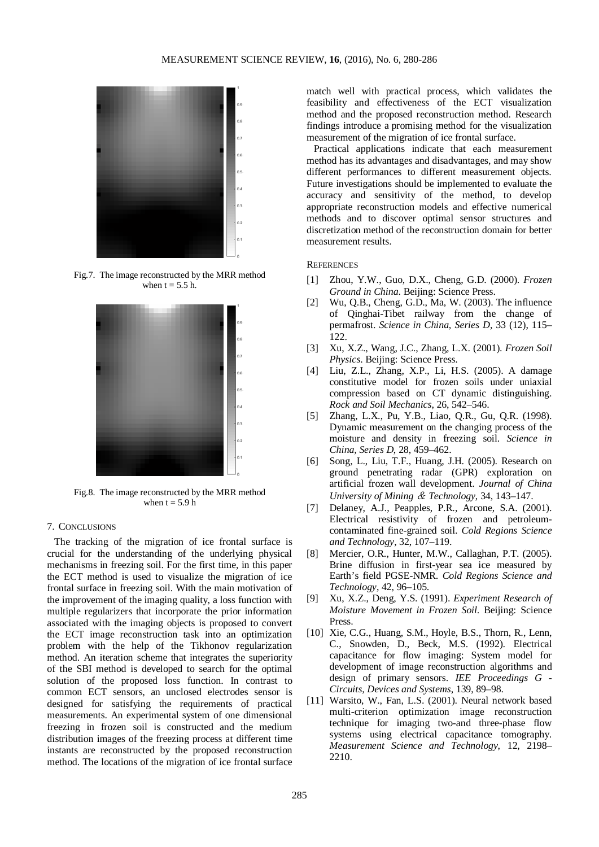

Fig.7. The image reconstructed by the MRR method when  $t = 5.5$  h.



Fig.8. The image reconstructed by the MRR method when  $t = 5.9 h$ 

# 7. CONCLUSIONS

The tracking of the migration of ice frontal surface is crucial for the understanding of the underlying physical mechanisms in freezing soil. For the first time, in this paper the ECT method is used to visualize the migration of ice frontal surface in freezing soil. With the main motivation of the improvement of the imaging quality, a loss function with multiple regularizers that incorporate the prior information associated with the imaging objects is proposed to convert the ECT image reconstruction task into an optimization problem with the help of the Tikhonov regularization method. An iteration scheme that integrates the superiority of the SBI method is developed to search for the optimal solution of the proposed loss function. In contrast to common ECT sensors, an unclosed electrodes sensor is designed for satisfying the requirements of practical measurements. An experimental system of one dimensional freezing in frozen soil is constructed and the medium distribution images of the freezing process at different time instants are reconstructed by the proposed reconstruction method. The locations of the migration of ice frontal surface

match well with practical process, which validates the feasibility and effectiveness of the ECT visualization method and the proposed reconstruction method. Research findings introduce a promising method for the visualization measurement of the migration of ice frontal surface.

Practical applications indicate that each measurement method has its advantages and disadvantages, and may show different performances to different measurement objects. Future investigations should be implemented to evaluate the accuracy and sensitivity of the method, to develop appropriate reconstruction models and effective numerical methods and to discover optimal sensor structures and discretization method of the reconstruction domain for better measurement results.

#### **REFERENCES**

- [1] Zhou, Y.W., Guo, D.X., Cheng, G.D. (2000). *Frozen Ground in China*. Beijing: Science Press.
- [2] Wu, Q.B., Cheng, G.D., Ma, W. (2003). The influence of Qinghai-Tibet railway from the change of permafrost. *Science in China, Series D*, 33 (12), 115– 122.
- [3] Xu, X.Z., Wang, J.C., Zhang, L.X. (2001). *Frozen Soil Physics*. Beijing: Science Press.
- [4] Liu, Z.L., Zhang, X.P., Li, H.S. (2005). A damage constitutive model for frozen soils under uniaxial compression based on CT dynamic distinguishing. *Rock and Soil Mechanics*, 26, 542–546.
- [5] Zhang, L.X., Pu, Y.B., Liao, Q.R., Gu, Q.R. (1998). Dynamic measurement on the changing process of the moisture and density in freezing soil. *Science in China, Series D*, 28, 459–462.
- [6] Song, L., Liu, T.F., Huang, J.H. (2005). Research on ground penetrating radar (GPR) exploration on artificial frozen wall development. *Journal of China University of Mining* & *Technology*, 34, 143–147.
- [7] Delaney, A.J., Peapples, P.R., Arcone, S.A. (2001). Electrical resistivity of frozen and petroleumcontaminated fine-grained soil. *Cold Regions Science and Technology*, 32, 107–119.
- [8] Mercier, O.R., Hunter, M.W., Callaghan, P.T. (2005). Brine diffusion in first-year sea ice measured by Earth's field PGSE-NMR. *Cold Regions Science and Technology*, 42, 96–105.
- [9] Xu, X.Z., Deng, Y.S. (1991). *Experiment Research of Moisture Movement in Frozen Soil*. Beijing: Science Press.
- [10] Xie, C.G., Huang, S.M., Hoyle, B.S., Thorn, R., Lenn, C., Snowden, D., Beck, M.S. (1992). Electrical capacitance for flow imaging: System model for development of image reconstruction algorithms and design of primary sensors. *IEE Proceedings G - Circuits, Devices and Systems*, 139, 89–98.
- [11] Warsito, W., Fan, L.S. (2001). Neural network based multi-criterion optimization image reconstruction technique for imaging two-and three-phase flow systems using electrical capacitance tomography. *Measurement Science and Technology*, 12, 2198– 2210.